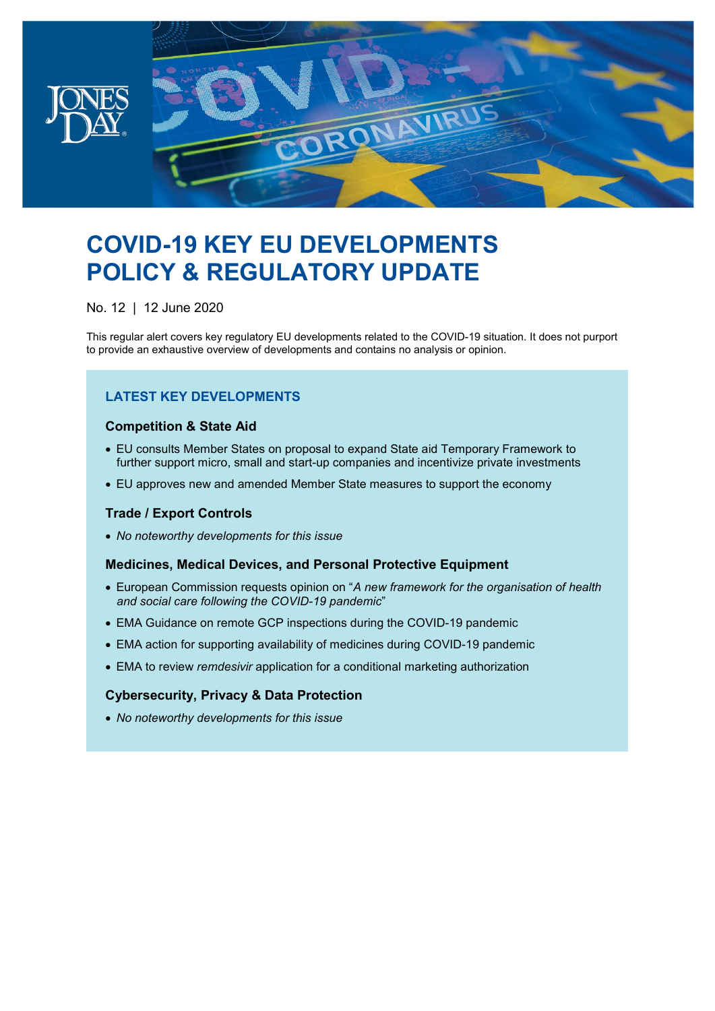

# **COVID-19 KEY EU DEVELOPMENTS POLICY & REGULATORY UPDATE**

No. 12 | 12 June 2020

This regular alert covers key regulatory EU developments related to the COVID-19 situation. It does not purport to provide an exhaustive overview of developments and contains no analysis or opinion.

# **LATEST KEY DEVELOPMENTS**

# **Competition & State Aid**

- EU consults Member States on proposal to expand State aid Temporary Framework to further support micro, small and start-up companies and incentivize private investments
- EU approves new and amended Member State measures to support the economy

# **Trade / Export Controls**

• *No noteworthy developments for this issue*

#### **Medicines, Medical Devices, and Personal Protective Equipment**

- European Commission requests opinion on "*A new framework for the organisation of health and social care following the COVID-19 pandemic*"
- EMA Guidance on remote GCP inspections during the COVID-19 pandemic
- EMA action for supporting availability of medicines during COVID-19 pandemic
- EMA to review *remdesivir* application for a conditional marketing authorization

# **Cybersecurity, Privacy & Data Protection**

• *No noteworthy developments for this issue*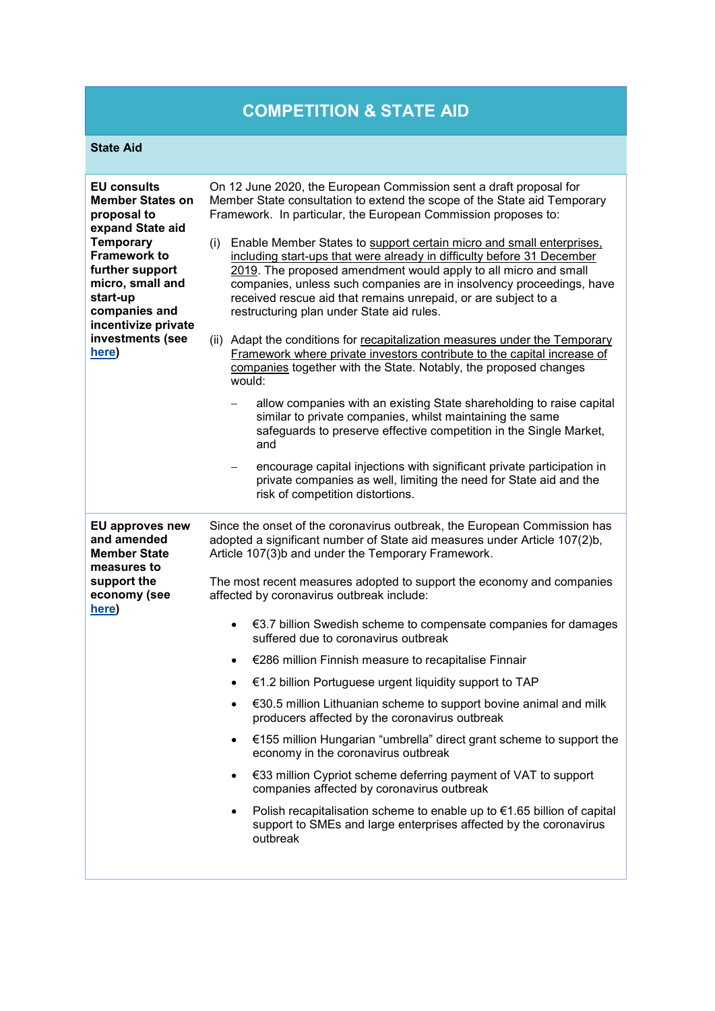# **COMPETITION & STATE AID**

# **State Aid**

| <b>EU</b> consults<br><b>Member States on</b><br>proposal to<br>expand State aid<br><b>Temporary</b><br><b>Framework to</b><br>further support<br>micro, small and<br>start-up<br>companies and<br>incentivize private<br>investments (see<br>here) | On 12 June 2020, the European Commission sent a draft proposal for                                                                                                                                                                                                                                                                                                                                              |
|-----------------------------------------------------------------------------------------------------------------------------------------------------------------------------------------------------------------------------------------------------|-----------------------------------------------------------------------------------------------------------------------------------------------------------------------------------------------------------------------------------------------------------------------------------------------------------------------------------------------------------------------------------------------------------------|
|                                                                                                                                                                                                                                                     | Member State consultation to extend the scope of the State aid Temporary<br>Framework. In particular, the European Commission proposes to:                                                                                                                                                                                                                                                                      |
|                                                                                                                                                                                                                                                     | Enable Member States to support certain micro and small enterprises,<br>(i)<br>including start-ups that were already in difficulty before 31 December<br>2019. The proposed amendment would apply to all micro and small<br>companies, unless such companies are in insolvency proceedings, have<br>received rescue aid that remains unrepaid, or are subject to a<br>restructuring plan under State aid rules. |
|                                                                                                                                                                                                                                                     | (ii) Adapt the conditions for recapitalization measures under the Temporary<br>Framework where private investors contribute to the capital increase of<br>companies together with the State. Notably, the proposed changes<br>would:                                                                                                                                                                            |
|                                                                                                                                                                                                                                                     | allow companies with an existing State shareholding to raise capital<br>similar to private companies, whilst maintaining the same<br>safeguards to preserve effective competition in the Single Market,<br>and                                                                                                                                                                                                  |
|                                                                                                                                                                                                                                                     | encourage capital injections with significant private participation in<br>private companies as well, limiting the need for State aid and the<br>risk of competition distortions.                                                                                                                                                                                                                                |
| <b>EU approves new</b><br>and amended<br><b>Member State</b><br>measures to<br>support the<br>economy (see                                                                                                                                          | Since the onset of the coronavirus outbreak, the European Commission has<br>adopted a significant number of State aid measures under Article 107(2)b,<br>Article 107(3)b and under the Temporary Framework.                                                                                                                                                                                                     |
|                                                                                                                                                                                                                                                     | The most recent measures adopted to support the economy and companies<br>affected by coronavirus outbreak include:                                                                                                                                                                                                                                                                                              |
|                                                                                                                                                                                                                                                     |                                                                                                                                                                                                                                                                                                                                                                                                                 |
| here)                                                                                                                                                                                                                                               | €3.7 billion Swedish scheme to compensate companies for damages<br>$\bullet$<br>suffered due to coronavirus outbreak                                                                                                                                                                                                                                                                                            |
|                                                                                                                                                                                                                                                     | €286 million Finnish measure to recapitalise Finnair<br>$\bullet$                                                                                                                                                                                                                                                                                                                                               |
|                                                                                                                                                                                                                                                     | €1.2 billion Portuguese urgent liquidity support to TAP<br>$\bullet$                                                                                                                                                                                                                                                                                                                                            |
|                                                                                                                                                                                                                                                     | €30.5 million Lithuanian scheme to support bovine animal and milk<br>producers affected by the coronavirus outbreak                                                                                                                                                                                                                                                                                             |
|                                                                                                                                                                                                                                                     | €155 million Hungarian "umbrella" direct grant scheme to support the<br>$\bullet$<br>economy in the coronavirus outbreak                                                                                                                                                                                                                                                                                        |
|                                                                                                                                                                                                                                                     | €33 million Cypriot scheme deferring payment of VAT to support<br>$\bullet$<br>companies affected by coronavirus outbreak                                                                                                                                                                                                                                                                                       |
|                                                                                                                                                                                                                                                     | Polish recapitalisation scheme to enable up to $\epsilon$ 1.65 billion of capital<br>$\bullet$<br>support to SMEs and large enterprises affected by the coronavirus<br>outbreak                                                                                                                                                                                                                                 |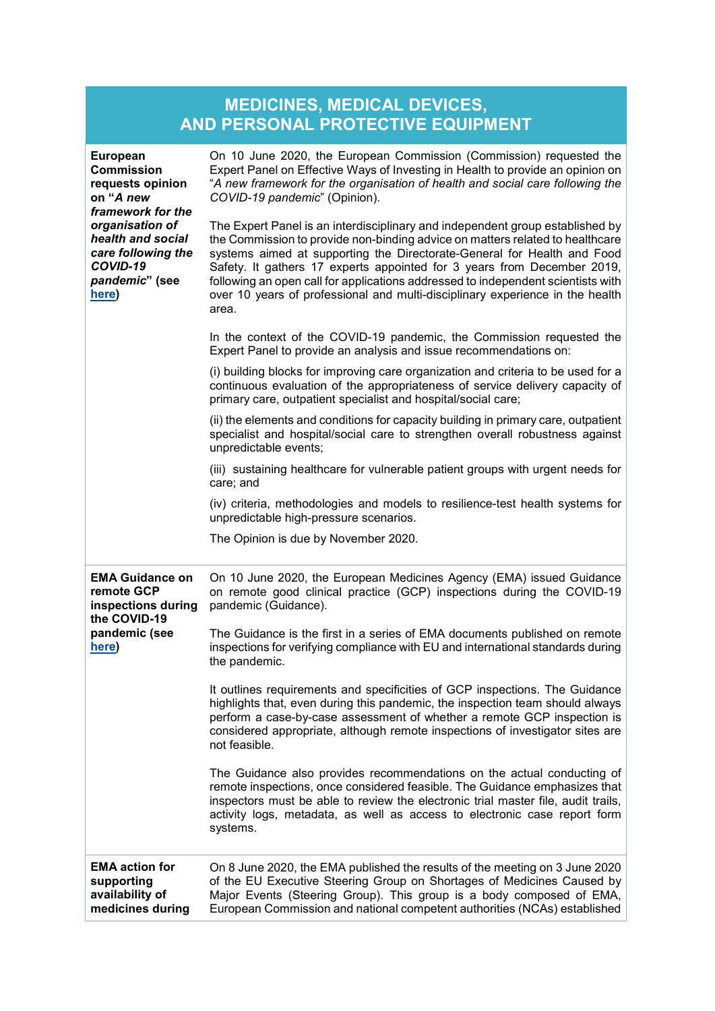| <b>MEDICINES, MEDICAL DEVICES,</b> |
|------------------------------------|
| AND PERSONAL PROTECTIVE EQUIPMENT  |

| <b>European</b><br><b>Commission</b><br>requests opinion<br>on "A new<br>framework for the<br>organisation of<br>health and social<br>care following the<br>COVID-19<br>pandemic" (see<br>here) | On 10 June 2020, the European Commission (Commission) requested the<br>Expert Panel on Effective Ways of Investing in Health to provide an opinion on<br>"A new framework for the organisation of health and social care following the<br>COVID-19 pandemic" (Opinion).                                                                                                                                                                                                                            |
|-------------------------------------------------------------------------------------------------------------------------------------------------------------------------------------------------|----------------------------------------------------------------------------------------------------------------------------------------------------------------------------------------------------------------------------------------------------------------------------------------------------------------------------------------------------------------------------------------------------------------------------------------------------------------------------------------------------|
|                                                                                                                                                                                                 | The Expert Panel is an interdisciplinary and independent group established by<br>the Commission to provide non-binding advice on matters related to healthcare<br>systems aimed at supporting the Directorate-General for Health and Food<br>Safety. It gathers 17 experts appointed for 3 years from December 2019,<br>following an open call for applications addressed to independent scientists with<br>over 10 years of professional and multi-disciplinary experience in the health<br>area. |
|                                                                                                                                                                                                 | In the context of the COVID-19 pandemic, the Commission requested the<br>Expert Panel to provide an analysis and issue recommendations on:                                                                                                                                                                                                                                                                                                                                                         |
|                                                                                                                                                                                                 | (i) building blocks for improving care organization and criteria to be used for a<br>continuous evaluation of the appropriateness of service delivery capacity of<br>primary care, outpatient specialist and hospital/social care;                                                                                                                                                                                                                                                                 |
|                                                                                                                                                                                                 | (ii) the elements and conditions for capacity building in primary care, outpatient<br>specialist and hospital/social care to strengthen overall robustness against<br>unpredictable events;                                                                                                                                                                                                                                                                                                        |
|                                                                                                                                                                                                 | (iii) sustaining healthcare for vulnerable patient groups with urgent needs for<br>care; and                                                                                                                                                                                                                                                                                                                                                                                                       |
|                                                                                                                                                                                                 | (iv) criteria, methodologies and models to resilience-test health systems for<br>unpredictable high-pressure scenarios.                                                                                                                                                                                                                                                                                                                                                                            |
|                                                                                                                                                                                                 | The Opinion is due by November 2020.                                                                                                                                                                                                                                                                                                                                                                                                                                                               |
| <b>EMA Guidance on</b><br>remote GCP<br>inspections during<br>the COVID-19<br>pandemic (see<br>here)                                                                                            | On 10 June 2020, the European Medicines Agency (EMA) issued Guidance<br>on remote good clinical practice (GCP) inspections during the COVID-19<br>pandemic (Guidance).                                                                                                                                                                                                                                                                                                                             |
|                                                                                                                                                                                                 | The Guidance is the first in a series of EMA documents published on remote<br>inspections for verifying compliance with EU and international standards during<br>the pandemic.                                                                                                                                                                                                                                                                                                                     |
|                                                                                                                                                                                                 | It outlines requirements and specificities of GCP inspections. The Guidance<br>highlights that, even during this pandemic, the inspection team should always<br>perform a case-by-case assessment of whether a remote GCP inspection is<br>considered appropriate, although remote inspections of investigator sites are<br>not feasible.                                                                                                                                                          |
|                                                                                                                                                                                                 | The Guidance also provides recommendations on the actual conducting of<br>remote inspections, once considered feasible. The Guidance emphasizes that<br>inspectors must be able to review the electronic trial master file, audit trails,<br>activity logs, metadata, as well as access to electronic case report form<br>systems.                                                                                                                                                                 |
| <b>EMA action for</b><br>supporting<br>availability of<br>medicines during                                                                                                                      | On 8 June 2020, the EMA published the results of the meeting on 3 June 2020<br>of the EU Executive Steering Group on Shortages of Medicines Caused by<br>Major Events (Steering Group). This group is a body composed of EMA,<br>European Commission and national competent authorities (NCAs) established                                                                                                                                                                                         |